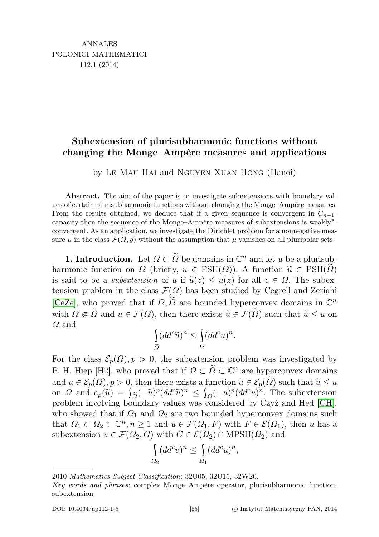## Subextension of plurisubharmonic functions without changing the Monge–Ampère measures and applications

by Le Mau Hai and Nguyen Xuan Hong (Hanoi)

Abstract. The aim of the paper is to investigate subextensions with boundary values of certain plurisubharmonic functions without changing the Monge–Ampère measures. From the results obtained, we deduce that if a given sequence is convergent in  $C_{n-1}$ capacity then the sequence of the Monge–Ampère measures of subextensions is weakly<sup>∗</sup> convergent. As an application, we investigate the Dirichlet problem for a nonnegative measure  $\mu$  in the class  $\mathcal{F}(\Omega, g)$  without the assumption that  $\mu$  vanishes on all pluripolar sets.

**1.** Introduction. Let  $\Omega \subset \widetilde{\Omega}$  be domains in  $\mathbb{C}^n$  and let u be a plurisubharmonic function on  $\Omega$  (briefly,  $u \in \text{PSH}(\Omega)$ ). A function  $\widetilde{u} \in \text{PSH}(\widetilde{\Omega})$ is said to be a *subextension* of u if  $\tilde{u}(z) \leq u(z)$  for all  $z \in \Omega$ . The subextension problem in the class  $\mathcal{F}(\Omega)$  has been studied by Cegrell and Zeriahi [\[CeZe\]](#page-11-0), who proved that if  $\Omega$ ,  $\widetilde{\Omega}$  are bounded hyperconvex domains in  $\mathbb{C}^n$ with  $\Omega \in \tilde{\Omega}$  and  $u \in \mathcal{F}(\Omega)$ , then there exists  $\tilde{u} \in \mathcal{F}(\tilde{\Omega})$  such that  $\tilde{u} \leq u$  on  $\Omega$  and

$$
\int_{\widetilde{\Omega}} (dd^c \widetilde{u})^n \le \int_{\Omega} (dd^c u)^n.
$$

For the class  $\mathcal{E}_p(\Omega)$ ,  $p > 0$ , the subextension problem was investigated by P. H. Hiep [H2], who proved that if  $\Omega \subset \tilde{\Omega} \subset \mathbb{C}^n$  are hyperconvex domains and  $u \in \mathcal{E}_p(\Omega)$ ,  $p > 0$ , then there exists a function  $\widetilde{u} \in \mathcal{E}_p(\widetilde{\Omega})$  such that  $\widetilde{u} \leq u$ on  $\Omega$  and  $e_p(\tilde{u}) = \int_{\tilde{\Omega}} (-\tilde{u})^p (dd^c \tilde{u})^n \leq \int_{\Omega} (-u)^p (dd^c u)^n$ . The subextension problem involving boundary values was considered by Czyż and Hed [\[CH\]](#page-11-1), who showed that if  $\Omega_1$  and  $\Omega_2$  are two bounded hyperconvex domains such that  $\Omega_1 \subset \Omega_2 \subset \mathbb{C}^n, n \geq 1$  and  $u \in \mathcal{F}(\Omega_1, F)$  with  $F \in \mathcal{E}(\Omega_1)$ , then u has a subextension  $v \in \mathcal{F}(\Omega_2, G)$  with  $G \in \mathcal{E}(\Omega_2) \cap \text{MPSH}(\Omega_2)$  and

$$
\int_{\Omega_2} (dd^c v)^n \le \int_{\Omega_1} (dd^c u)^n,
$$

<sup>2010</sup> Mathematics Subject Classification: 32U05, 32U15, 32W20.

Key words and phrases: complex Monge–Ampère operator, plurisubharmonic function, subextension.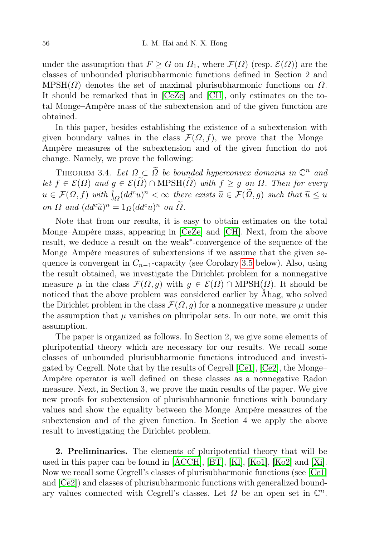under the assumption that  $F \geq G$  on  $\Omega_1$ , where  $\mathcal{F}(\Omega)$  (resp.  $\mathcal{E}(\Omega)$ ) are the classes of unbounded plurisubharmonic functions defined in Section 2 and  $MPSH(\Omega)$  denotes the set of maximal plurisubharmonic functions on  $\Omega$ . It should be remarked that in [\[CeZe\]](#page-11-0) and [\[CH\]](#page-11-1), only estimates on the total Monge–Ampère mass of the subextension and of the given function are obtained.

In this paper, besides establishing the existence of a subextension with given boundary values in the class  $\mathcal{F}(\Omega, f)$ , we prove that the Monge– Ampère measures of the subextension and of the given function do not change. Namely, we prove the following:

THEOREM 3.4. Let  $\Omega \subset \widetilde{\Omega}$  be bounded hyperconvex domains in  $\mathbb{C}^n$  and let  $f \in \mathcal{E}(\Omega)$  and  $g \in \mathcal{E}(\widetilde{\Omega}) \cap \text{MPSH}(\widetilde{\Omega})$  with  $f \geq g$  on  $\Omega$ . Then for every  $u \in \mathcal{F}(\Omega, f)$  with  $\int_{\Omega} (dd^c u)^n < \infty$  there exists  $\widetilde{u} \in \mathcal{F}(\widetilde{\Omega}, g)$  such that  $\widetilde{u} \leq u$ on  $\Omega$  and  $(dd^c\widetilde{u})^n = 1_{\Omega}(dd^c u)^n$  on  $\widetilde{\Omega}$ .

Note that from our results, it is easy to obtain estimates on the total Monge–Ampère mass, appearing in [\[CeZe\]](#page-11-0) and [\[CH\]](#page-11-1). Next, from the above result, we deduce a result on the weak<sup>∗</sup> -convergence of the sequence of the Monge–Ampère measures of subextensions if we assume that the given sequence is convergent in  $C_{n-1}$ -capacity (see Corolary [3.5](#page-8-0) below). Also, using the result obtained, we investigate the Dirichlet problem for a nonnegative measure  $\mu$  in the class  $\mathcal{F}(\Omega, g)$  with  $g \in \mathcal{E}(\Omega) \cap \text{MPSH}(\Omega)$ . It should be noticed that the above problem was considered earlier by Åhag, who solved the Dirichlet problem in the class  $\mathcal{F}(\Omega, g)$  for a nonnegative measure  $\mu$  under the assumption that  $\mu$  vanishes on pluripolar sets. In our note, we omit this assumption.

The paper is organized as follows. In Section 2, we give some elements of pluripotential theory which are necessary for our results. We recall some classes of unbounded plurisubharmonic functions introduced and investigated by Cegrell. Note that by the results of Cegrell [\[Ce1\]](#page-11-2), [\[Ce2\]](#page-11-3), the Monge– Ampère operator is well defined on these classes as a nonnegative Radon measure. Next, in Section 3, we prove the main results of the paper. We give new proofs for subextension of plurisubharmonic functions with boundary values and show the equality between the Monge–Ampère measures of the subextension and of the given function. In Section 4 we apply the above result to investigating the Dirichlet problem.

2. Preliminaries. The elements of pluripotential theory that will be used in this paper can be found in [\[ÅCCH\]](#page-10-0), [\[BT\]](#page-11-4), [\[Kl\]](#page-11-5), [\[Ko1\]](#page-11-6), [\[Ko2\]](#page-11-7) and [\[Xi\]](#page-11-8). Now we recall some Cegrell's classes of plurisubharmonic functions (see [\[Ce1\]](#page-11-2) and [\[Ce2\]](#page-11-3)) and classes of plurisubharmonic functions with generalized boundary values connected with Cegrell's classes. Let  $\Omega$  be an open set in  $\mathbb{C}^n$ .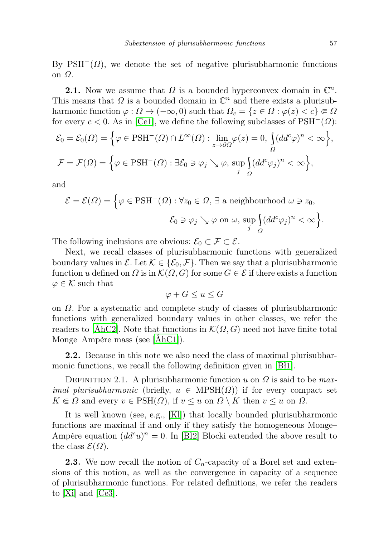By PSH<sup> $-$ </sup>( $\Omega$ ), we denote the set of negative plurisubharmonic functions on Ω.

**2.1.** Now we assume that  $\Omega$  is a bounded hyperconvex domain in  $\mathbb{C}^n$ . This means that  $\Omega$  is a bounded domain in  $\mathbb{C}^n$  and there exists a plurisubharmonic function  $\varphi : \Omega \to (-\infty, 0)$  such that  $\Omega_c = \{z \in \Omega : \varphi(z) < c\} \Subset \Omega$ for every  $c < 0$ . As in [\[Ce1\]](#page-11-2), we define the following subclasses of PSH<sup>-</sup>( $\Omega$ ):  $\mathcal{E}_0 = \mathcal{E}_0(\Omega) = \left\{ \varphi \in \mathrm{PSH}^-(\Omega) \cap L^\infty(\Omega) : \lim_{z \to \partial \Omega} \varphi(z) = 0, \, \int_{\Omega}$ Ω  $(dd^c\varphi)^n<\infty$ ,

$$
\mathcal{F} = \mathcal{F}(\Omega) = \left\{ \varphi \in \mathrm{PSH}^-(\Omega) : \exists \mathcal{E}_0 \ni \varphi_j \searrow \varphi, \, \sup_j \int_{\Omega} (dd^c \varphi_j)^n < \infty \right\},\,
$$

and

$$
\mathcal{E} = \mathcal{E}(\Omega) = \Big\{ \varphi \in \text{PSH}^-(\Omega) : \forall z_0 \in \Omega, \exists \text{ a neighbourhood } \omega \ni z_0,
$$

$$
\mathcal{E}_0 \ni \varphi_j \searrow \varphi \text{ on } \omega, \sup_j \Big( (dd^c \varphi_j)^n < \infty \Big\}.
$$

The following inclusions are obvious:  $\mathcal{E}_0 \subset \mathcal{F} \subset \mathcal{E}$ .

Next, we recall classes of plurisubharmonic functions with generalized boundary values in  $\mathcal{E}$ . Let  $\mathcal{K} \in \{\mathcal{E}_0, \mathcal{F}\}\$ . Then we say that a plurisubharmonic function u defined on  $\Omega$  is in  $\mathcal{K}(\Omega, G)$  for some  $G \in \mathcal{E}$  if there exists a function  $\varphi \in \mathcal{K}$  such that

$$
\varphi + G \le u \le G
$$

on Ω. For a systematic and complete study of classes of plurisubharmonic functions with generalized boundary values in other classes, we refer the readers to [\[ÅhC2\]](#page-11-9). Note that functions in  $\mathcal{K}(\Omega, G)$  need not have finite total Monge–Ampère mass (see [\[ÅhC1\]](#page-10-1)).

2.2. Because in this note we also need the class of maximal plurisubharmonic functions, we recall the following definition given in [\[Bł1\]](#page-11-10).

DEFINITION 2.1. A plurisubharmonic function u on  $\Omega$  is said to be maximal plurisubharmonic (briefly,  $u \in \text{MPSH}(\Omega)$ ) if for every compact set  $K \in \Omega$  and every  $v \in \text{PSH}(\Omega)$ , if  $v \leq u$  on  $\Omega \setminus K$  then  $v \leq u$  on  $\Omega$ .

It is well known (see, e.g., [\[Kl\]](#page-11-5)) that locally bounded plurisubharmonic functions are maximal if and only if they satisfy the homogeneous Monge– Ampère equation  $(dd^c u)^n = 0$ . In [\[Bł2\]](#page-11-11) Blocki extended the above result to the class  $\mathcal{E}(\Omega)$ .

**2.3.** We now recall the notion of  $C_n$ -capacity of a Borel set and extensions of this notion, as well as the convergence in capacity of a sequence of plurisubharmonic functions. For related definitions, we refer the readers to [\[Xi\]](#page-11-8) and [\[Ce3\]](#page-11-12).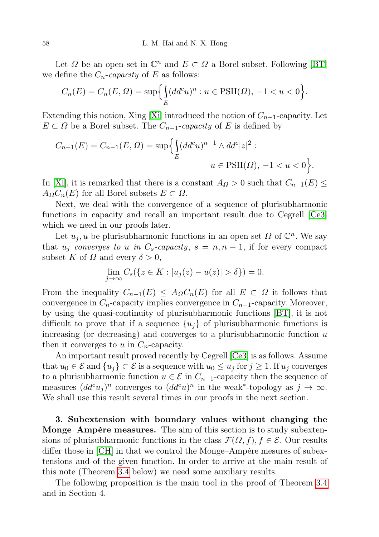Let  $\Omega$  be an open set in  $\mathbb{C}^n$  and  $E \subset \Omega$  a Borel subset. Following [\[BT\]](#page-11-4) we define the  $C_n$ -capacity of E as follows:

$$
C_n(E) = C_n(E, \Omega) = \sup \Biggl\{ \int_E (dd^c u)^n : u \in \text{PSH}(\Omega), -1 < u < 0 \Biggr\}.
$$

Extending this notion, Xing [\[Xi\]](#page-11-8) introduced the notion of  $C_{n-1}$ -capacity. Let  $E \subset \Omega$  be a Borel subset. The  $C_{n-1}$ -capacity of E is defined by

$$
C_{n-1}(E) = C_{n-1}(E, \Omega) = \sup \Biggl\{ \int_{E} (dd^{c}u)^{n-1} \wedge dd^{c}|z|^{2} : \Biggr\}
$$
  
  $u \in \text{PSH}(\Omega), -1 < u < 0 \Biggr\}.$ 

In [\[Xi\]](#page-11-8), it is remarked that there is a constant  $A_{\Omega} > 0$  such that  $C_{n-1}(E) \leq$  $A_{\Omega}C_n(E)$  for all Borel subsets  $E \subset \Omega$ .

Next, we deal with the convergence of a sequence of plurisubharmonic functions in capacity and recall an important result due to Cegrell [\[Ce3\]](#page-11-12) which we need in our proofs later.

Let  $u_j, u$  be plurisubharmonic functions in an open set  $\Omega$  of  $\mathbb{C}^n$ . We say that  $u_i$  converges to u in  $C_s$ -capacity,  $s = n, n - 1$ , if for every compact subset K of  $\Omega$  and every  $\delta > 0$ ,

$$
\lim_{j \to \infty} C_s(\{z \in K : |u_j(z) - u(z)| > \delta\}) = 0.
$$

From the inequality  $C_{n-1}(E) \leq A_{\Omega} C_n(E)$  for all  $E \subset \Omega$  it follows that convergence in  $C_n$ -capacity implies convergence in  $C_{n-1}$ -capacity. Moreover, by using the quasi-continuity of plurisubharmonic functions [\[BT\]](#page-11-4), it is not difficult to prove that if a sequence  $\{u_i\}$  of plurisubharmonic functions is increasing (or decreasing) and converges to a plurisubharmonic function  $u$ then it converges to u in  $C_n$ -capacity.

An important result proved recently by Cegrell [\[Ce3\]](#page-11-12) is as follows. Assume that  $u_0 \in \mathcal{E}$  and  $\{u_i\} \subset \mathcal{E}$  is a sequence with  $u_0 \leq u_i$  for  $j \geq 1$ . If  $u_i$  converges to a plurisubharmonic function  $u \in \mathcal{E}$  in  $C_{n-1}$ -capacity then the sequence of measures  $(dd^c u_j)^n$  converges to  $(dd^c u)^n$  in the weak<sup>\*</sup>-topology as  $j \to \infty$ . We shall use this result several times in our proofs in the next section.

3. Subextension with boundary values without changing the Monge–Ampère measures. The aim of this section is to study subextensions of plurisubharmonic functions in the class  $\mathcal{F}(\Omega, f), f \in \mathcal{E}$ . Our results differ those in [\[CH\]](#page-11-1) in that we control the Monge–Ampère mesures of subextensions and of the given function. In order to arrive at the main result of this note (Theorem [3.4](#page-7-0) below) we need some auxiliary results.

<span id="page-3-0"></span>The following proposition is the main tool in the proof of Theorem [3.4](#page-7-0) and in Section 4.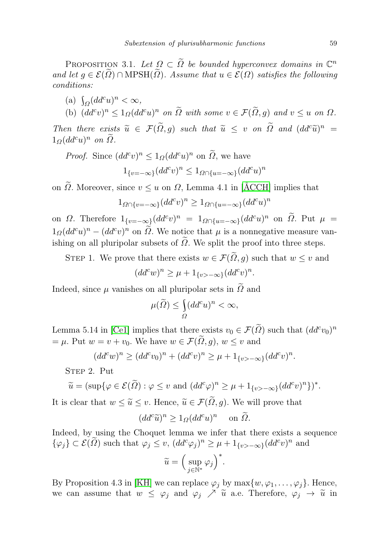PROPOSITION 3.1. Let  $\Omega \subset \widetilde{\Omega}$  be bounded hyperconvex domains in  $\mathbb{C}^n$ and let  $q \in \mathcal{E}(\tilde{\Omega}) \cap \text{MPSH}(\tilde{\Omega})$ . Assume that  $u \in \mathcal{E}(\Omega)$  satisfies the following conditions:

(a)  $\int_{\Omega} (dd^c u)^n < \infty$ ,

(b)  $(dd^c v)^n \leq 1_{\Omega}(dd^c u)^n$  on  $\Omega$  with some  $v \in \mathcal{F}(\Omega, g)$  and  $v \leq u$  on  $\Omega$ .

Then there exists  $\widetilde{u} \in \mathcal{F}(\widetilde{\Omega}, g)$  such that  $\widetilde{u} \leq v$  on  $\widetilde{\Omega}$  and  $(dd^c\widetilde{u})^n =$ <br>1.  $(dd^c\widetilde{u})^n$  on  $\widetilde{\Omega}$  $1_{\Omega}(dd^c u)^n$  on  $\Omega$ .

*Proof.* Since  $(dd^c v)^n \leq 1_{\Omega} (dd^c u)^n$  on  $\tilde{\Omega}$ , we have

$$
1_{\{v=-\infty\}}(dd^c v)^n \le 1_{\Omega \cap \{u=-\infty\}} (dd^c u)^n
$$

on  $\widetilde{\Omega}$ . Moreover, since  $v \leq u$  on  $\Omega$ , Lemma 4.1 in [\[ÅCCH\]](#page-10-0) implies that

$$
1_{\Omega \cap \{v = -\infty\}} (dd^c v)^n \ge 1_{\Omega \cap \{u = -\infty\}} (dd^c u)^n
$$

on  $\Omega$ . Therefore  $1_{\{v=-\infty\}}(dd^c v)^n = 1_{\Omega \cap \{u=-\infty\}}(dd^c u)^n$  on  $\Omega$ . Put  $\mu =$  $1_{\Omega}(dd^c u)^n - (dd^c v)^n$  on  $\tilde{\Omega}$ . We notice that  $\mu$  is a nonnegative measure vanishing on all pluripolar subsets of  $\tilde{\Omega}$ . We split the proof into three steps.

STEP 1. We prove that there exists  $w \in \mathcal{F}(\tilde{\Omega}, g)$  such that  $w \leq v$  and

$$
(dd^c w)^n \ge \mu + 1_{\{v > -\infty\}} (dd^c v)^n.
$$

Indeed, since  $\mu$  vanishes on all pluripolar sets in  $\tilde{\Omega}$  and

$$
\mu(\widetilde{\varOmega})\leq \underset{\varOmega}{\int} (dd^c u)^n<\infty,
$$

Lemma 5.14 in [\[Ce1\]](#page-11-2) implies that there exists  $v_0 \in \mathcal{F}(\tilde{\Omega})$  such that  $(dd^c v_0)^n$  $= \mu$ . Put  $w = v + v_0$ . We have  $w \in \mathcal{F}(\tilde{\Omega}, g)$ ,  $w \leq v$  and

$$
(dd^c w)^n \ge (dd^c v_0)^n + (dd^c v)^n \ge \mu + 1_{\{v > -\infty\}} (dd^c v)^n.
$$

STEP 2. Put

$$
\widetilde{u} = (\sup \{ \varphi \in \mathcal{E}(\widetilde{\Omega}) : \varphi \le v \text{ and } (dd^c \varphi)^n \ge \mu + 1_{\{v > -\infty\}} (dd^c v)^n \} )^*.
$$

It is clear that  $w \leq \tilde{u} \leq v$ . Hence,  $\tilde{u} \in \mathcal{F}(\tilde{\Omega}, g)$ . We will prove that

$$
(dd^c \widetilde{u})^n \ge 1_{\Omega} (dd^c u)^n \quad \text{on } \widetilde{\Omega}.
$$

Indeed, by using the Choquet lemma we infer that there exists a sequence  $\{\varphi_j\} \subset \mathcal{E}(\tilde{\Omega})$  such that  $\varphi_j \leq v$ ,  $(dd^c \varphi_j)^n \geq \mu + 1_{\{v > -\infty\}} (dd^c v)^n$  and

$$
\widetilde{u} = \Big(\sup_{j\in\mathbb{N}^*} \varphi_j\Big)^*.
$$

By Proposition 4.3 in [\[KH\]](#page-11-13) we can replace  $\varphi_j$  by  $\max\{w, \varphi_1, \ldots, \varphi_j\}$ . Hence, we can assume that  $w \leq \varphi_j$  and  $\varphi_j \nearrow \tilde{u}$  a.e. Therefore,  $\varphi_j \rightarrow \tilde{u}$  in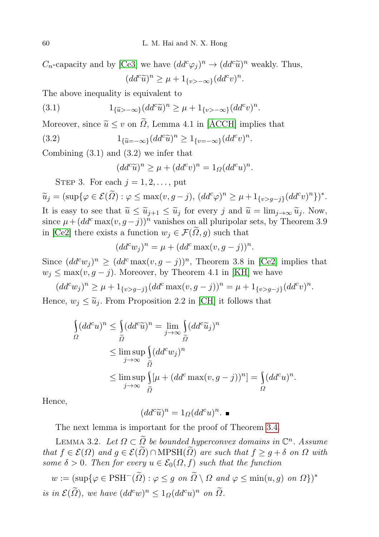$C_n$ -capacity and by [\[Ce3\]](#page-11-12) we have  $(dd^c\varphi_j)^n \to (dd^c\widetilde{u})^n$  weakly. Thus,  $(dd^c\widetilde{u})^n \geq \mu + 1_{\{v > -\infty\}}(dd^c v)^n.$ 

The above inequality is equivalent to

(3.1) 
$$
1_{\{\widetilde{u} > -\infty\}} (dd^c \widetilde{u})^n \ge \mu + 1_{\{v > -\infty\}} (dd^c v)^n.
$$

Moreover, since  $\widetilde{u} \leq v$  on  $\widetilde{Q}$ , Lemma 4.1 in [\[ÅCCH\]](#page-10-0) implies that

(3.2) 
$$
1_{\{\widetilde{u}=-\infty\}}(dd^c\widetilde{u})^n \ge 1_{\{v=-\infty\}}(dd^c v)^n.
$$

Combining (3.1) and (3.2) we infer that

$$
(dd^c \tilde{u})^n \ge \mu + (dd^c v)^n = 1_{\Omega} (dd^c u)^n.
$$

STEP 3. For each  $j = 1, 2, \ldots$ , put

 $\widetilde{u}_j = (\sup\{\varphi \in \mathcal{E}(\widetilde{\Omega}) : \varphi \leq \max(v, g - j), (dd^c \varphi)^n \geq \mu + 1_{\{v > g - j\}} (dd^c v)^n\})^*.$ It is easy to see that  $\widetilde{u} \leq \widetilde{u}_{j+1} \leq \widetilde{u}_j$  for every j and  $\widetilde{u} = \lim_{j \to \infty} \widetilde{u}_j$ . Now, since  $\mu + (dd^c \max(v, g - j))^n$  vanishes on all pluripolar sets, by Theorem 3.9 in [\[Ce2\]](#page-11-3) there exists a function  $w_j \in \mathcal{F}(\tilde{\Omega}, g)$  such that

$$
(dd^c w_j)^n = \mu + (dd^c \max(v, g - j))^n.
$$

Since  $(dd^c w_j)^n \geq (dd^c \max(v, g - j))^n$ , Theorem 3.8 in [\[Ce2\]](#page-11-3) implies that  $w_j \leq \max(v, g - j)$ . Moreover, by Theorem 4.1 in [\[KH\]](#page-11-13) we have

$$
(dd^c w_j)^n \ge \mu + 1_{\{v > g - j\}} (dd^c \max(v, g - j))^n = \mu + 1_{\{v > g - j\}} (dd^c v)^n.
$$

Hence,  $w_i \leq \tilde{u}_i$ . From Proposition 2.2 in [\[CH\]](#page-11-1) it follows that

$$
\int_{\Omega} (dd^c u)^n \leq \int_{\widetilde{\Omega}} (dd^c \widetilde{u})^n = \lim_{j \to \infty} \int_{\widetilde{\Omega}} (dd^c \widetilde{u}_j)^n
$$
  
\n
$$
\leq \limsup_{j \to \infty} \int_{\widetilde{\Omega}} (dd^c w_j)^n
$$
  
\n
$$
\leq \limsup_{j \to \infty} \int_{\widetilde{\Omega}} [\mu + (dd^c \max(v, g - j))^n] = \int_{\Omega} (dd^c u)^n.
$$

Hence,

$$
(dd^c \tilde{u})^n = 1_{\Omega} (dd^c u)^n. \blacksquare
$$

The next lemma is important for the proof of Theorem [3.4.](#page-7-0)

<span id="page-5-0"></span>LEMMA 3.2. Let  $\Omega \subset \widetilde{\Omega}$  be bounded hyperconvex domains in  $\mathbb{C}^n$ . Assume that  $f \in \mathcal{E}(\Omega)$  and  $g \in \mathcal{E}(\widetilde{\Omega}) \cap \text{MPSH}(\widetilde{\Omega})$  are such that  $f \geq g + \delta$  on  $\Omega$  with some  $\delta > 0$ . Then for every  $u \in \mathcal{E}_0(\Omega, f)$  such that the function

 $w := (\sup\{\varphi \in \text{PSH}^{-}(\widetilde{\Omega}) : \varphi \leq g \text{ on } \widetilde{\Omega} \setminus \Omega \text{ and } \varphi \leq \min(u, g) \text{ on } \Omega\})^*$ is in  $\mathcal{E}(\tilde{\Omega})$ , we have  $(dd^c w)^n \leq 1_{\Omega} (dd^c u)^n$  on  $\tilde{\Omega}$ .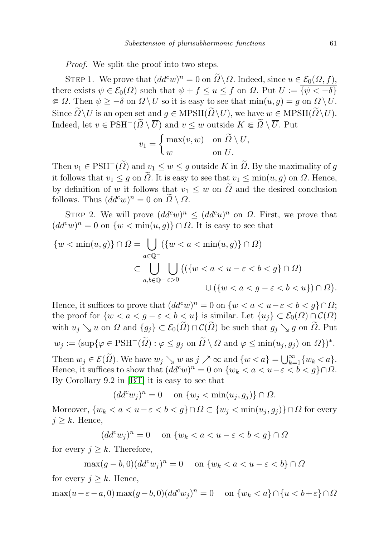Proof. We split the proof into two steps.

STEP 1. We prove that  $(dd^c w)^n = 0$  on  $\widetilde{\Omega} \backslash \Omega$ . Indeed, since  $u \in \mathcal{E}_0(\Omega, f)$ , there exists  $\psi \in \mathcal{E}_0(\Omega)$  such that  $\psi + f \le u \le f$  on  $\Omega$ . Put  $U := \overline{\{\psi < -\delta\}}$  $\in \Omega$ . Then  $\psi \geq -\delta$  on  $\Omega \setminus U$  so it is easy to see that  $\min(u, g) = g$  on  $\Omega \setminus U$ . Since  $\widetilde{\Omega}\setminus\overline{U}$  is an open set and  $g \in \text{MPSH}(\widetilde{\Omega}\setminus\overline{U})$ , we have  $w \in \text{MPSH}(\widetilde{\Omega}\setminus\overline{U})$ . Indeed, let  $v \in \text{PSH}^-(\widetilde{\Omega} \setminus \overline{U})$  and  $v \leq w$  outside  $K \Subset \widetilde{\Omega} \setminus \overline{U}$ . Put

$$
v_1 = \begin{cases} \max(v, w) & \text{on } \widetilde{\Omega} \setminus U, \\ w & \text{on } U. \end{cases}
$$

Then  $v_1 \in \text{PSH}^-(\tilde{\Omega})$  and  $v_1 \leq w \leq g$  outside K in  $\tilde{\Omega}$ . By the maximality of g it follows that  $v_1 \leq g$  on  $\tilde{\Omega}$ . It is easy to see that  $v_1 \leq \min(u,g)$  on  $\Omega$ . Hence, by definition of w it follows that  $v_1 \leq w$  on  $\tilde{\Omega}$  and the desired conclusion follows. Thus  $(dd^c w)^n = 0$  on  $\overline{\Omega} \setminus \Omega$ .

STEP 2. We will prove  $(dd^c w)^n \leq (dd^c u)^n$  on  $\Omega$ . First, we prove that  $(dd^c w)^n=0$  on  $\{w<\min(u,g)\}\cap\Omega$ . It is easy to see that

$$
\{w < \min(u, g)\} \cap \Omega = \bigcup_{a \in \mathbb{Q}^-} (\{w < a < \min(u, g)\} \cap \Omega)
$$
\n
$$
\subset \bigcup_{a, b \in \mathbb{Q}^-} \bigcup_{\varepsilon > 0} \left( (\{w < a < u - \varepsilon < b < g\} \cap \Omega) \right)
$$
\n
$$
\cup \left( \{w < a < g - \varepsilon < b < u\} \right) \cap \Omega \right).
$$

Hence, it suffices to prove that  $(dd^c w)^n = 0$  on  $\{w < a < u - \varepsilon < b < g\} \cap \Omega;$ the proof for  $\{w < a < g - \varepsilon < b < u\}$  is similar. Let  $\{u_i\} \subset \mathcal{E}_0(\Omega) \cap \mathcal{C}(\Omega)$ with  $u_j \searrow u$  on  $\Omega$  and  $\{g_j\} \subset \mathcal{E}_0(\tilde{\Omega}) \cap \mathcal{C}(\tilde{\Omega})$  be such that  $g_j \searrow g$  on  $\tilde{\Omega}$ . Put  $w_j := (\sup\{\varphi \in \text{PSH}^-(\widetilde{\Omega}) : \varphi \leq g_j \text{ on } \widetilde{\Omega} \setminus \Omega \text{ and } \varphi \leq \min(u_j, g_j) \text{ on } \Omega\})^*.$ Them  $w_j \in \mathcal{E}(\widetilde{\Omega})$ . We have  $w_j \searrow w$  as  $j \nearrow \infty$  and  $\{w < a\} = \bigcup_{k=1}^{\infty} \{w_k < a\}$ .

Hence, it suffices to show that  $(dd^c w)^n = 0$  on  $\{w_k < a < u - \varepsilon < b < g\} \cap \Omega$ . By Corollary 9.2 in [\[BT\]](#page-11-4) it is easy to see that

$$
(dd^c w_j)^n = 0 \quad \text{ on } \{w_j < \min(u_j, g_j)\} \cap \Omega.
$$

Moreover,  $\{w_k < a < u-\varepsilon < b < g\} \cap \Omega \subset \{w_i < \min(u_i, g_i)\} \cap \Omega$  for every  $j \geq k$ . Hence,

$$
(dd^c w_j)^n = 0 \quad \text{on } \{w_k < a < u - \varepsilon < b < g\} \cap \Omega
$$

for every  $j \geq k$ . Therefore,

$$
\max(g-b,0)(dd^c w_j)^n = 0 \quad \text{on } \{w_k < a < u - \varepsilon < b\} \cap \Omega
$$

for every  $j \geq k$ . Hence,

$$
\max(u-\varepsilon-a,0)\max(g-b,0)(dd^c w_j)^n=0 \quad \text{on } \{w_k < a\} \cap \{u < b+\varepsilon\} \cap \Omega
$$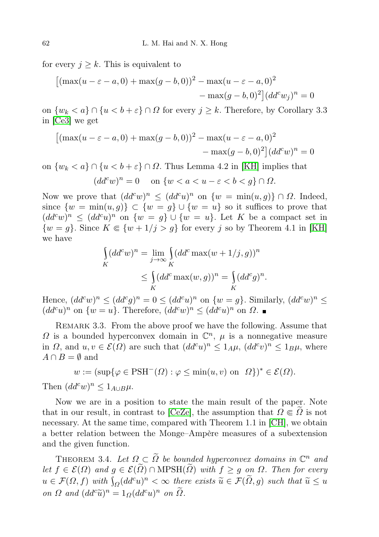for every  $j \geq k$ . This is equivalent to

$$
[(\max(u - \varepsilon - a, 0) + \max(g - b, 0))^2 - \max(u - \varepsilon - a, 0)^2 - \max(g - b, 0)^2](dd^c w_j)^n = 0
$$

on  $\{w_k < a\} \cap \{u < b + \varepsilon\} \cap \Omega$  for every  $j \ge k$ . Therefore, by Corollary 3.3 in [\[Ce3\]](#page-11-12) we get

$$
[(\max(u - \varepsilon - a, 0) + \max(g - b, 0))^2 - \max(u - \varepsilon - a, 0)^2 - \max(g - b, 0)^2](dd^c w)^n = 0
$$

on  $\{w_k < a\} \cap \{u < b + \varepsilon\} \cap \Omega$ . Thus Lemma 4.2 in [\[KH\]](#page-11-13) implies that  $(dd^c w)^n=0$  on  $\{w < a < u-\varepsilon < b < g\} \cap \Omega$ .

Now we prove that  $(dd^c w)^n \leq (dd^c u)^n$  on  $\{w = \min(u,g)\} \cap \Omega$ . Indeed, since  $\{w = \min(u, g)\}\subset \{w = g\} \cup \{w = u\}$  so it suffices to prove that  $(dd^c w)^n \leq (dd^c u)^n$  on  $\{w = g\} \cup \{w = u\}$ . Let K be a compact set in  $\{w = g\}$ . Since  $K \in \{w + 1/j > g\}$  for every j so by Theorem 4.1 in [\[KH\]](#page-11-13) we have

$$
\int_{K} (dd^c w)^n = \lim_{j \to \infty} \int_{K} (dd^c \max(w + 1/j, g))^n
$$

$$
\leq \int_{K} (dd^c \max(w, g))^n = \int_{K} (dd^c g)^n.
$$

Hence,  $(dd^c w)^n \leq (dd^c g)^n = 0 \leq (dd^c u)^n$  on  $\{w = g\}$ . Similarly,  $(dd^c w)^n \leq$  $(dd^c u)^n$  on  $\{w=u\}$ . Therefore,  $(dd^c w)^n \leq (dd^c u)^n$  on  $\Omega$ .

<span id="page-7-1"></span>REMARK 3.3. From the above proof we have the following. Assume that  $\Omega$  is a bounded hyperconvex domain in  $\mathbb{C}^n$ ,  $\mu$  is a nonnegative measure in  $\Omega$ , and  $u, v \in \mathcal{E}(\Omega)$  are such that  $(dd^c u)^n \leq 1_A\mu$ ,  $(dd^c v)^n \leq 1_B\mu$ , where  $A \cap B = \emptyset$  and

$$
w := (\sup{\varphi \in \text{PSH}^-(\Omega) : \varphi \le \min(u, v) \text{ on } \Omega})^* \in \mathcal{E}(\Omega).
$$

Then  $(dd^c w)^n \leq 1_{A\cup B}\mu$ .

Now we are in a position to state the main result of the paper. Note that in our result, in contrast to [\[CeZe\]](#page-11-0), the assumption that  $\Omega \in \Omega$  is not necessary. At the same time, compared with Theorem 1.1 in [\[CH\]](#page-11-1), we obtain a better relation between the Monge–Ampère measures of a subextension and the given function.

<span id="page-7-0"></span>THEOREM 3.4. Let  $\Omega \subset \widetilde{\Omega}$  be bounded hyperconvex domains in  $\mathbb{C}^n$  and let  $f \in \mathcal{E}(\Omega)$  and  $g \in \mathcal{E}(\tilde{\Omega}) \cap \text{MPSH}(\tilde{\Omega})$  with  $f \geq g$  on  $\Omega$ . Then for every  $u \in \mathcal{F}(\Omega, f)$  with  $\int_{\Omega} (dd^c u)^n < \infty$  there exists  $\widetilde{u} \in \mathcal{F}(\widetilde{\Omega}, g)$  such that  $\widetilde{u} \leq u$ on  $\Omega$  and  $(dd^c\widetilde{u})^n = 1_{\Omega}(dd^c u)^n$  on  $\widetilde{\Omega}$ .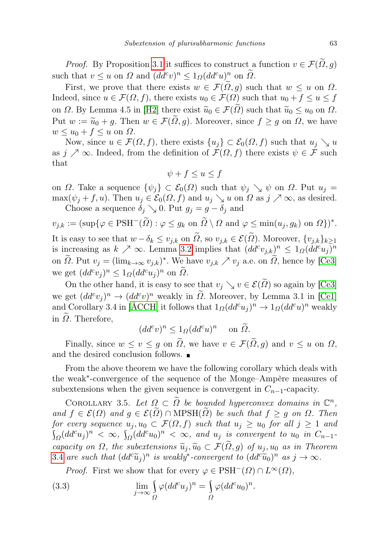*Proof.* By Proposition [3.1](#page-3-0) it suffices to construct a function  $v \in \mathcal{F}(\Omega, g)$ such that  $v \leq u$  on  $\Omega$  and  $(dd^c v)^n \leq 1_{\Omega} (dd^c u)^n$  on  $\widetilde{\Omega}$ .

First, we prove that there exists  $w \in \mathcal{F}(\tilde{\Omega}, g)$  such that  $w \leq u$  on  $\Omega$ . Indeed, since  $u \in \mathcal{F}(\Omega, f)$ , there exists  $u_0 \in \mathcal{F}(\Omega)$  such that  $u_0 + f \le u \le f$ on  $\Omega$ . By Lemma 4.5 in [\[H2\]](#page-11-14) there exist  $\widetilde{u}_0 \in \mathcal{F}(\Omega)$  such that  $\widetilde{u}_0 \leq u_0$  on  $\Omega$ . Put  $w := \widetilde{u}_0 + g$ . Then  $w \in \mathcal{F}(\widetilde{\Omega}, g)$ . Moreover, since  $f \geq g$  on  $\Omega$ , we have  $w \leq u_0 + f \leq u$  on  $\Omega$ .

Now, since  $u \in \mathcal{F}(\Omega, f)$ , there exists  $\{u_i\} \subset \mathcal{E}_0(\Omega, f)$  such that  $u_i \searrow u$ as  $j \nearrow \infty$ . Indeed, from the definition of  $\mathcal{F}(\Omega, f)$  there exists  $\psi \in \mathcal{F}$  such that

$$
\psi + f \le u \le f
$$

on  $\Omega$ . Take a sequence  $\{\psi_i\} \subset \mathcal{E}_0(\Omega)$  such that  $\psi_i \searrow \psi$  on  $\Omega$ . Put  $u_i =$  $\max(\psi_i + f, u)$ . Then  $u_i \in \mathcal{E}_0(\Omega, f)$  and  $u_i \searrow u$  on  $\Omega$  as  $j \nearrow \infty$ , as desired. Choose a sequence  $\delta_j \searrow 0$ . Put  $g_j = g - \delta_j$  and

 $v_{j,k} := (\sup\{\varphi \in \text{PSH}^{-}(\widetilde{\Omega}) : \varphi \leq g_k \text{ on } \widetilde{\Omega} \setminus \Omega \text{ and } \varphi \leq \min(u_j, g_k) \text{ on } \Omega\})^*.$ It is easy to see that  $w - \delta_k \leq v_{j,k}$  on  $\tilde{\Omega}$ , so  $v_{j,k} \in \mathcal{E}(\tilde{\Omega})$ . Moreover,  $\{v_{j,k}\}_{k\geq 1}$ is increasing as  $k \nearrow \infty$ . Lemma [3.2](#page-5-0) implies that  $(dd^c v_{j,k})^n \leq 1_{\Omega} (dd^c u_j)^n$ on  $\tilde{\Omega}$ . Put  $v_j = (\lim_{k \to \infty} v_{j,k})^*$ . We have  $v_{j,k} \nearrow v_j$  a.e. on  $\tilde{\Omega}$ , hence by [\[Ce3\]](#page-11-12) we get  $(dd^c v_j)^n \leq 1_{\Omega} (dd^c u_j)^n$  on  $\widetilde{\Omega}$ .

On the other hand, it is easy to see that  $v_i \searrow v \in \mathcal{E}(\Omega)$  so again by [\[Ce3\]](#page-11-12) we get  $(dd^c v_j)^n \to (dd^c v)^n$  weakly in  $\tilde{\Omega}$ . Moreover, by Lemma 3.1 in [\[Ce1\]](#page-11-2) and Corollary 3.4 in [\[ÅCCH\]](#page-10-0) it follows that  $1_{\Omega}(dd^c u_j)^n \to 1_{\Omega}(dd^c u)^n$  weakly in  $\tilde{\Omega}$ . Therefore,

$$
(dd^c v)^n \le 1_{\Omega} (dd^c u)^n \quad \text{on } \widetilde{\Omega}.
$$

Finally, since  $w \le v \le g$  on  $\tilde{\Omega}$ , we have  $v \in \mathcal{F}(\tilde{\Omega}, g)$  and  $v \le u$  on  $\Omega$ , and the desired conclusion follows.  $\blacksquare$ 

From the above theorem we have the following corollary which deals with the weak<sup>∗</sup> -convergence of the sequence of the Monge–Ampère measures of subextensions when the given sequence is convergent in  $C_{n-1}$ -capacity.

<span id="page-8-0"></span>COROLLARY 3.5. Let  $\Omega \subset \widetilde{\Omega}$  be bounded hyperconvex domains in  $\mathbb{C}^n$ , and  $f \in \mathcal{E}(\Omega)$  and  $g \in \mathcal{E}(\widetilde{\Omega}) \cap \text{MPSH}(\widetilde{\Omega})$  be such that  $f \geq g$  on  $\Omega$ . Then for every sequence  $u_j, u_0 \subset \mathcal{F}(\Omega, f)$  such that  $u_j \geq u_0$  for all  $j \geq 1$  and  $\int_{\Omega} (dd^c u_j)^n \, < \, \infty, \, \int_{\Omega} (dd^c u_0)^n \, < \, \infty, \, \text{ and } \, u_j \, \text{ is convergent to } u_0 \, \text{ in } C_{n-1}.$ capacity on  $\Omega$ , the subextensions  $\widetilde{u}_i, \widetilde{u}_0 \subset \mathcal{F}(\Omega, g)$  of  $u_i, u_0$  as in Theorem [3](#page-7-0).4 are such that  $(dd^c\widetilde{u}_j)^n$  is weakly<sup>\*</sup>-convergent to  $(dd^c\widetilde{u}_0)^n$  as  $j \to \infty$ .

*Proof.* First we show that for every  $\varphi \in \text{PSH}^-(\Omega) \cap L^{\infty}(\Omega)$ ,

(3.3) 
$$
\lim_{j \to \infty} \int_{\Omega} \varphi (dd^c u_j)^n = \int_{\Omega} \varphi (dd^c u_0)^n.
$$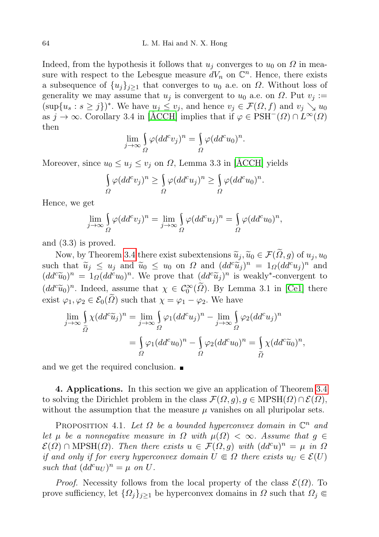Indeed, from the hypothesis it follows that  $u_i$  converges to  $u_0$  on  $\Omega$  in measure with respect to the Lebesgue measure  $dV_n$  on  $\mathbb{C}^n$ . Hence, there exists a subsequence of  $\{u_i\}_{i\geq 1}$  that converges to  $u_0$  a.e. on  $\Omega$ . Without loss of generality we may assume that  $u_j$  is convergent to  $u_0$  a.e. on  $\Omega$ . Put  $v_j :=$  $(\sup\{u_s : s \geq j\})^*$ . We have  $u_j \leq v_j$ , and hence  $v_j \in \mathcal{F}(\Omega, f)$  and  $v_j \searrow u_0$ as  $j \to \infty$ . Corollary 3.4 in [\[ÅCCH\]](#page-10-0) implies that if  $\varphi \in \text{PSH}^-(\Omega) \cap L^{\infty}(\Omega)$ then

$$
\lim_{j \to \infty} \int_{\Omega} \varphi (dd^c v_j)^n = \int_{\Omega} \varphi (dd^c u_0)^n.
$$

Moreover, since  $u_0 \leq u_i \leq v_i$  on  $\Omega$ , Lemma 3.3 in [ACCH] yields

$$
\int_{\Omega} \varphi (dd^c v_j)^n \ge \int_{\Omega} \varphi (dd^c u_j)^n \ge \int_{\Omega} \varphi (dd^c u_0)^n.
$$

Hence, we get

$$
\lim_{j \to \infty} \int_{\Omega} \varphi (dd^c v_j)^n = \lim_{j \to \infty} \int_{\Omega} \varphi (dd^c u_j)^n = \int_{\Omega} \varphi (dd^c u_0)^n,
$$

and (3.3) is proved.

Now, by Theorem [3.4](#page-7-0) there exist subextensions  $\tilde{u}_i, \tilde{u}_0 \in \mathcal{F}(\tilde{\Omega}, g)$  of  $u_j, u_0$ such that  $\widetilde{u}_j \leq u_j$  and  $\widetilde{u}_0 \leq u_0$  on  $\Omega$  and  $(dd^c\widetilde{u}_j)^n = 1_{\Omega}(dd^cu_j)^n$  and  $(dd^c\widetilde{u}_j)^n = 1_{\Omega}(dd^cu_j)^n$  and  $(dd^c\widetilde{u}_j)^n$  is weakly convergent to  $(dd^c\tilde{u}_0)^n = 1_{\Omega}(dd^c u_0)^n$ . We prove that  $(dd^c\tilde{u}_j)^n$  is weakly\*-convergent to  $(dd^c\tilde{u}_0)^n$ . Indeed, assume that  $\chi \in C_0^{\infty}(\tilde{\Omega})$ . By Lemma 3.1 in [\[Ce1\]](#page-11-2) there exist  $\varphi_1, \varphi_2 \in \mathcal{E}_0(\tilde{\Omega})$  such that  $\chi = \varphi_1 - \varphi_2$ . We have

$$
\lim_{j \to \infty} \int_{\widetilde{\Omega}} \chi (dd^c \widetilde{u}_j)^n = \lim_{j \to \infty} \int_{\Omega} \varphi_1 (dd^c u_j)^n - \lim_{j \to \infty} \int_{\Omega} \varphi_2 (dd^c u_j)^n
$$

$$
= \int_{\Omega} \varphi_1 (dd^c u_0)^n - \int_{\Omega} \varphi_2 (dd^c u_0)^n = \int_{\widetilde{\Omega}} \chi (dd^c \widetilde{u}_0)^n,
$$

and we get the required conclusion.

4. Applications. In this section we give an application of Theorem [3.4](#page-7-0) to solving the Dirichlet problem in the class  $\mathcal{F}(\Omega, g), g \in \text{MPSH}(\Omega) \cap \mathcal{E}(\Omega)$ , without the assumption that the measure  $\mu$  vanishes on all pluripolar sets.

PROPOSITION 4.1. Let  $\Omega$  be a bounded hyperconvex domain in  $\mathbb{C}^n$  and let  $\mu$  be a nonnegative measure in  $\Omega$  with  $\mu(\Omega) < \infty$ . Assume that  $g \in$  $\mathcal{E}(\Omega) \cap \text{MPSH}(\Omega)$ . Then there exists  $u \in \mathcal{F}(\Omega, g)$  with  $(dd^c u)^n = \mu$  in  $\Omega$ if and only if for every hyperconvex domain  $U \\\in \Omega$  there exists  $u_U \in \mathcal{E}(U)$ such that  $(dd^c u_U)^n = \mu$  on U.

*Proof.* Necessity follows from the local property of the class  $\mathcal{E}(\Omega)$ . To prove sufficiency, let  $\{\Omega_j\}_{j\geq 1}$  be hyperconvex domains in  $\Omega$  such that  $\Omega_j \in$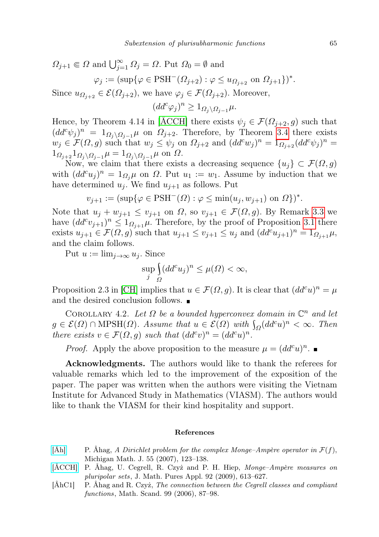$$
\Omega_{j+1} \Subset \Omega \text{ and } \bigcup_{j=1}^{\infty} \Omega_j = \Omega. \text{ Put } \Omega_0 = \emptyset \text{ and}
$$

$$
\varphi_j := (\sup \{ \varphi \in \text{PSH}^-(\Omega_{j+2}) : \varphi \le u_{\Omega_{j+2}} \text{ on } \Omega_{j+1} \})^*.
$$

Since  $u_{\Omega_{j+2}} \in \mathcal{E}(\Omega_{j+2})$ , we have  $\varphi_j \in \mathcal{F}(\Omega_{j+2})$ . Moreover,

 $(dd^c\varphi_j)^n\geq 1_{\Omega_j\setminus\Omega_{j-1}}\mu.$ 

Hence, by Theorem 4.14 in [\[ÅCCH\]](#page-10-0) there exists  $\psi_j \in \mathcal{F}(\Omega_{j+2}, g)$  such that  $(dd^c\psi_j)^n = 1_{\Omega_j\backslash\Omega_{j-1}}\mu$  on  $\Omega_{j+2}$ . Therefore, by Theorem [3.4](#page-7-0) there exists  $w_j \in \mathcal{F}(\Omega, g)$  such that  $w_j \leq \psi_j$  on  $\Omega_{j+2}$  and  $(dd^c w_j)^n = 1_{\Omega_{j+2}} (dd^c \psi_j)^n =$  $1_{\Omega_{j+2}} 1_{\Omega_j \setminus \Omega_{j-1}} \mu = 1_{\Omega_j \setminus \Omega_{j-1}} \mu$  on  $\Omega$ .

Now, we claim that there exists a decreasing sequence  $\{u_i\} \subset \mathcal{F}(\Omega, g)$ with  $(dd^c u_j)^n = 1_{\Omega_j}\mu$  on  $\Omega$ . Put  $u_1 := w_1$ . Assume by induction that we have determined  $u_i$ . We find  $u_{i+1}$  as follows. Put

$$
v_{j+1} := (\sup \{ \varphi \in \text{PSH}^-(\Omega) : \varphi \le \min(u_j, w_{j+1}) \text{ on } \Omega \})^*.
$$

Note that  $u_j + w_{j+1} \le v_{j+1}$  on  $\Omega$ , so  $v_{j+1} \in \mathcal{F}(\Omega, g)$ . By Remark [3.3](#page-7-1) we have  $(dd^c v_{j+1})^n \leq 1_{\Omega_{j+1}}\mu$ . Therefore, by the proof of Proposition [3.1](#page-3-0) there exists  $u_{j+1} \in \mathcal{F}(\Omega, g)$  such that  $u_{j+1} \le v_{j+1} \le u_j$  and  $(dd^c u_{j+1})^n = 1_{\Omega_{j+1}}\mu$ , and the claim follows.

Put  $u := \lim_{i \to \infty} u_i$ . Since

$$
\sup_j \int_{\Omega} (dd^c u_j)^n \le \mu(\Omega) < \infty,
$$

Proposition 2.3 in [\[CH\]](#page-11-1) implies that  $u \in \mathcal{F}(\Omega, g)$ . It is clear that  $(dd^c u)^n = \mu$ and the desired conclusion follows.  $\blacksquare$ 

COROLLARY 4.2. Let  $\Omega$  be a bounded hyperconvex domain in  $\mathbb{C}^n$  and let  $g \in \mathcal{E}(\Omega) \cap \text{MPSH}(\Omega)$ . Assume that  $u \in \mathcal{E}(\Omega)$  with  $\int_{\Omega} (dd^c u)^n < \infty$ . Then there exists  $v \in \mathcal{F}(\Omega, g)$  such that  $(dd^c v)^n = (dd^c u)^n$ .

*Proof.* Apply the above proposition to the measure  $\mu = (dd^c u)^n$ .

Acknowledgments. The authors would like to thank the referees for valuable remarks which led to the improvement of the exposition of the paper. The paper was written when the authors were visiting the Vietnam Institute for Advanced Study in Mathematics (VIASM). The authors would like to thank the VIASM for their kind hospitality and support.

## References

- [\[Åh\]](http://dx.doi.org/10.1307/mmj/1177681988) P. Åhag, A Dirichlet problem for the complex Monge–Ampère operator in  $\mathcal{F}(f)$ , Michigan Math. J. 55 (2007), 123–138.
- <span id="page-10-0"></span>[\[ÅCCH\]](http://dx.doi.org/10.1016/j.matpur.2009.06.001) P. Åhag, U. Cegrell, R. Czyż and P. H. Hiep, Monge–Ampère measures on pluripolar sets, J. Math. Pures Appl. 92 (2009), 613–627.
- <span id="page-10-1"></span>[ÅhC1] P. Åhag and R. Czyż, The connection between the Cegrell classes and compliant functions, Math. Scand. 99 (2006), 87–98.